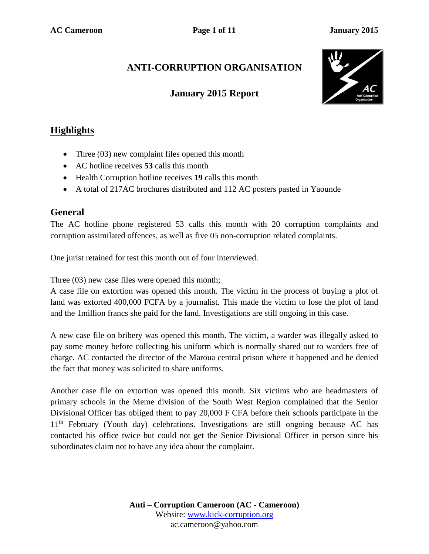# **ANTI-CORRUPTION ORGANISATION**

### **January 2015 Report**



## **Highlights**

- Three (03) new complaint files opened this month
- AC hotline receives **53** calls this month
- Health Corruption hotline receives **19** calls this month
- A total of 217AC brochures distributed and 112 AC posters pasted in Yaounde

### **General**

The AC hotline phone registered 53 calls this month with 20 corruption complaints and corruption assimilated offences, as well as five 05 non-corruption related complaints.

One jurist retained for test this month out of four interviewed.

Three (03) new case files were opened this month;

A case file on extortion was opened this month. The victim in the process of buying a plot of land was extorted 400,000 FCFA by a journalist. This made the victim to lose the plot of land and the 1million francs she paid for the land. Investigations are still ongoing in this case.

A new case file on bribery was opened this month. The victim, a warder was illegally asked to pay some money before collecting his uniform which is normally shared out to warders free of charge. AC contacted the director of the Maroua central prison where it happened and he denied the fact that money was solicited to share uniforms.

Another case file on extortion was opened this month. Six victims who are headmasters of primary schools in the Meme division of the South West Region complained that the Senior Divisional Officer has obliged them to pay 20,000 F CFA before their schools participate in the 11<sup>th</sup> February (Youth day) celebrations. Investigations are still ongoing because AC has contacted his office twice but could not get the Senior Divisional Officer in person since his subordinates claim not to have any idea about the complaint.

> **Anti – Corruption Cameroon (AC - Cameroon)** Website: [www.kick-corruption.org](http://www.kick-corruption.org/) ac.cameroon@yahoo.com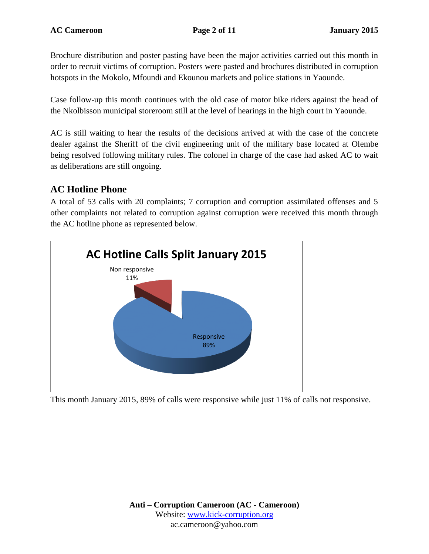Brochure distribution and poster pasting have been the major activities carried out this month in order to recruit victims of corruption. Posters were pasted and brochures distributed in corruption hotspots in the Mokolo, Mfoundi and Ekounou markets and police stations in Yaounde.

Case follow-up this month continues with the old case of motor bike riders against the head of the Nkolbisson municipal storeroom still at the level of hearings in the high court in Yaounde.

AC is still waiting to hear the results of the decisions arrived at with the case of the concrete dealer against the Sheriff of the civil engineering unit of the military base located at Olembe being resolved following military rules. The colonel in charge of the case had asked AC to wait as deliberations are still ongoing.

### **AC Hotline Phone**

A total of 53 calls with 20 complaints; 7 corruption and corruption assimilated offenses and 5 other complaints not related to corruption against corruption were received this month through the AC hotline phone as represented below.



This month January 2015, 89% of calls were responsive while just 11% of calls not responsive.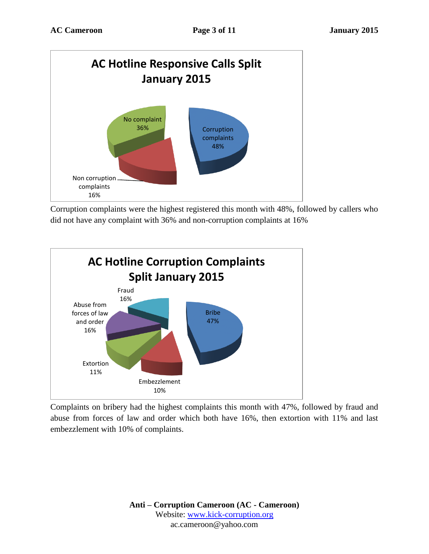

Corruption complaints were the highest registered this month with 48%, followed by callers who did not have any complaint with 36% and non-corruption complaints at 16%



Complaints on bribery had the highest complaints this month with 47%, followed by fraud and abuse from forces of law and order which both have 16%, then extortion with 11% and last embezzlement with 10% of complaints.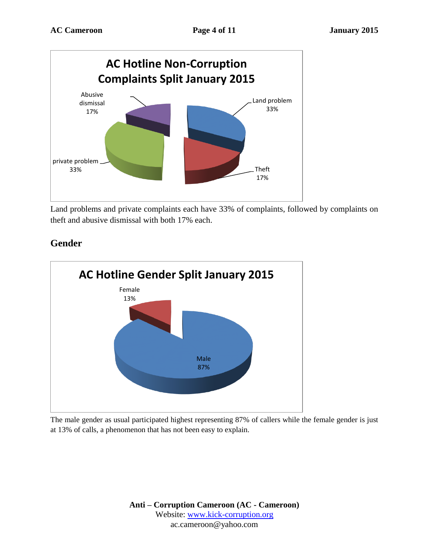

Land problems and private complaints each have 33% of complaints, followed by complaints on theft and abusive dismissal with both 17% each.

### **Gender**



The male gender as usual participated highest representing 87% of callers while the female gender is just at 13% of calls, a phenomenon that has not been easy to explain.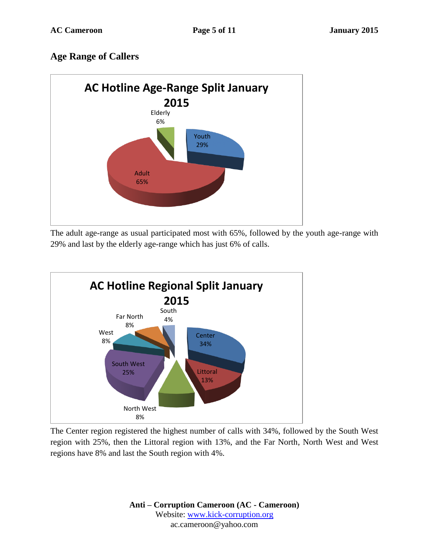## **Age Range of Callers**



The adult age-range as usual participated most with 65%, followed by the youth age-range with 29% and last by the elderly age-range which has just 6% of calls.



The Center region registered the highest number of calls with 34%, followed by the South West region with 25%, then the Littoral region with 13%, and the Far North, North West and West regions have 8% and last the South region with 4%.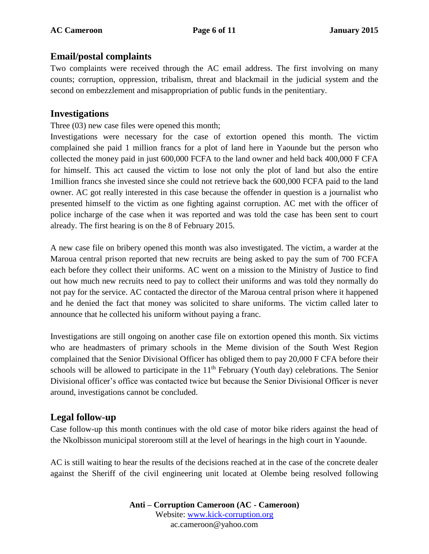#### **Email/postal complaints**

Two complaints were received through the AC email address. The first involving on many counts; corruption, oppression, tribalism, threat and blackmail in the judicial system and the second on embezzlement and misappropriation of public funds in the penitentiary.

#### **Investigations**

Three (03) new case files were opened this month;

Investigations were necessary for the case of extortion opened this month. The victim complained she paid 1 million francs for a plot of land here in Yaounde but the person who collected the money paid in just 600,000 FCFA to the land owner and held back 400,000 F CFA for himself. This act caused the victim to lose not only the plot of land but also the entire 1million francs she invested since she could not retrieve back the 600,000 FCFA paid to the land owner. AC got really interested in this case because the offender in question is a journalist who presented himself to the victim as one fighting against corruption. AC met with the officer of police incharge of the case when it was reported and was told the case has been sent to court already. The first hearing is on the 8 of February 2015.

A new case file on bribery opened this month was also investigated. The victim, a warder at the Maroua central prison reported that new recruits are being asked to pay the sum of 700 FCFA each before they collect their uniforms. AC went on a mission to the Ministry of Justice to find out how much new recruits need to pay to collect their uniforms and was told they normally do not pay for the service. AC contacted the director of the Maroua central prison where it happened and he denied the fact that money was solicited to share uniforms. The victim called later to announce that he collected his uniform without paying a franc.

Investigations are still ongoing on another case file on extortion opened this month. Six victims who are headmasters of primary schools in the Meme division of the South West Region complained that the Senior Divisional Officer has obliged them to pay 20,000 F CFA before their schools will be allowed to participate in the  $11<sup>th</sup>$  February (Youth day) celebrations. The Senior Divisional officer's office was contacted twice but because the Senior Divisional Officer is never around, investigations cannot be concluded.

### **Legal follow-up**

Case follow-up this month continues with the old case of motor bike riders against the head of the Nkolbisson municipal storeroom still at the level of hearings in the high court in Yaounde.

AC is still waiting to hear the results of the decisions reached at in the case of the concrete dealer against the Sheriff of the civil engineering unit located at Olembe being resolved following

> **Anti – Corruption Cameroon (AC - Cameroon)** Website: [www.kick-corruption.org](http://www.kick-corruption.org/) ac.cameroon@yahoo.com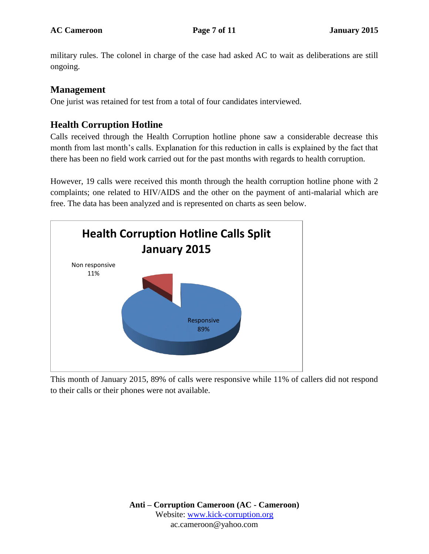military rules. The colonel in charge of the case had asked AC to wait as deliberations are still ongoing.

### **Management**

One jurist was retained for test from a total of four candidates interviewed.

### **Health Corruption Hotline**

Calls received through the Health Corruption hotline phone saw a considerable decrease this month from last month's calls. Explanation for this reduction in calls is explained by the fact that there has been no field work carried out for the past months with regards to health corruption.

However, 19 calls were received this month through the health corruption hotline phone with 2 complaints; one related to HIV/AIDS and the other on the payment of anti-malarial which are free. The data has been analyzed and is represented on charts as seen below.



This month of January 2015, 89% of calls were responsive while 11% of callers did not respond to their calls or their phones were not available.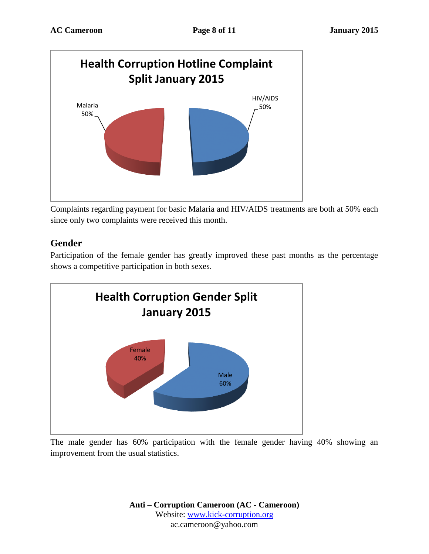

Complaints regarding payment for basic Malaria and HIV/AIDS treatments are both at 50% each since only two complaints were received this month.

### **Gender**

Participation of the female gender has greatly improved these past months as the percentage shows a competitive participation in both sexes.



The male gender has 60% participation with the female gender having 40% showing an improvement from the usual statistics.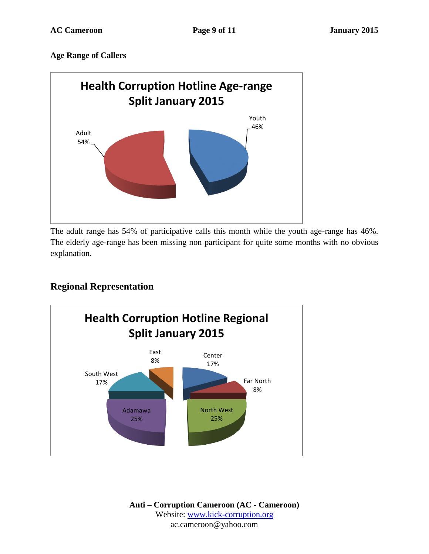#### **Age Range of Callers**



The adult range has 54% of participative calls this month while the youth age-range has 46%. The elderly age-range has been missing non participant for quite some months with no obvious explanation.

### **Regional Representation**



**Anti – Corruption Cameroon (AC - Cameroon)** Website: [www.kick-corruption.org](http://www.kick-corruption.org/) ac.cameroon@yahoo.com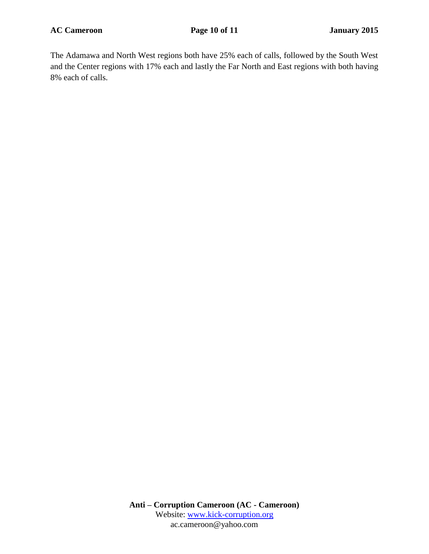The Adamawa and North West regions both have 25% each of calls, followed by the South West and the Center regions with 17% each and lastly the Far North and East regions with both having 8% each of calls.